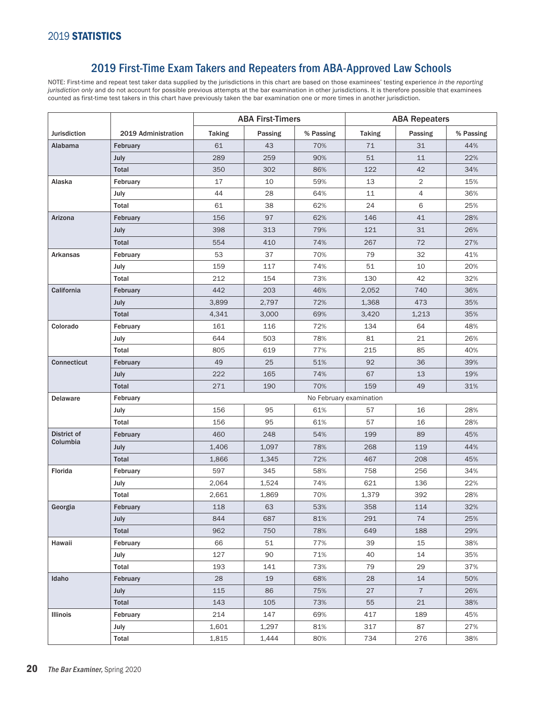### 2019 First-Time Exam Takers and Repeaters from ABA-Approved Law Schools

NOTE: First-time and repeat test taker data supplied by the jurisdictions in this chart are based on those examinees' testing experience *in the reporting jurisdiction only* and do not account for possible previous attempts at the bar examination in other jurisdictions. It is therefore possible that examinees counted as first-time test takers in this chart have previously taken the bar examination one or more times in another jurisdiction.

|                     |                     | <b>ABA First-Timers</b> |         |           | <b>ABA Repeaters</b> |                |           |  |
|---------------------|---------------------|-------------------------|---------|-----------|----------------------|----------------|-----------|--|
| <b>Jurisdiction</b> | 2019 Administration | <b>Taking</b>           | Passing | % Passing | <b>Taking</b>        | Passing        | % Passing |  |
| Alabama             | February            | 61                      | 43      | 70%       | 71                   | 31             | 44%       |  |
|                     | July                | 289                     | 259     | 90%       | 51                   | 11             | 22%       |  |
|                     | <b>Total</b>        | 350                     | 302     | 86%       | 122                  | 42             | 34%       |  |
| Alaska              | February            | 17                      | 10      | 59%       | 13                   | 2              | 15%       |  |
|                     | July                | 44                      | 28      | 64%       | 11                   | 4              | 36%       |  |
|                     | Total               | 61                      | 38      | 62%       | 24                   | 6              | 25%       |  |
| Arizona             | February            | 156                     | 97      | 62%       | 146                  | 41             | 28%       |  |
|                     | July                | 398                     | 313     | 79%       | 121                  | 31             | 26%       |  |
|                     | <b>Total</b>        | 554                     | 410     | 74%       | 267                  | 72             | 27%       |  |
| Arkansas            | February            | 53                      | 37      | 70%       | 79                   | 32             | 41%       |  |
|                     | July                | 159                     | 117     | 74%       | 51                   | 10             | 20%       |  |
|                     | Total               | 212                     | 154     | 73%       | 130                  | 42             | 32%       |  |
| California          | February            | 442                     | 203     | 46%       | 2,052                | 740            | 36%       |  |
|                     | July                | 3,899                   | 2,797   | 72%       | 1,368                | 473            | 35%       |  |
|                     | <b>Total</b>        | 4,341                   | 3,000   | 69%       | 3,420                | 1,213          | 35%       |  |
| Colorado            | February            | 161                     | 116     | 72%       | 134                  | 64             | 48%       |  |
|                     | July                | 644                     | 503     | 78%       | 81                   | 21             | 26%       |  |
|                     | Total               | 805                     | 619     | 77%       | 215                  | 85             | 40%       |  |
| <b>Connecticut</b>  | February            | 49                      | 25      | 51%       | 92                   | 36             | 39%       |  |
|                     | July                | 222                     | 165     | 74%       | 67                   | 13             | 19%       |  |
|                     | <b>Total</b>        | 271                     | 190     | 70%       | 159                  | 49             | 31%       |  |
| <b>Delaware</b>     | February            | No February examination |         |           |                      |                |           |  |
|                     | July                | 156                     | 95      | 61%       | 57                   | 16             | 28%       |  |
|                     | Total               | 156                     | 95      | 61%       | 57                   | 16             | 28%       |  |
| <b>District of</b>  | February            | 460                     | 248     | 54%       | 199                  | 89             | 45%       |  |
| Columbia            | July                | 1,406                   | 1,097   | 78%       | 268                  | 119            | 44%       |  |
|                     | Total               | 1,866                   | 1,345   | 72%       | 467                  | 208            | 45%       |  |
| Florida             | February            | 597                     | 345     | 58%       | 758                  | 256            | 34%       |  |
|                     | July                | 2,064                   | 1,524   | 74%       | 621                  | 136            | 22%       |  |
|                     | Total               | 2,661                   | 1,869   | 70%       | 1,379                | 392            | 28%       |  |
| Georgia             | February            | 118                     | 63      | 53%       | 358                  | 114            | 32%       |  |
|                     | July                | 844                     | 687     | 81%       | 291                  | 74             | 25%       |  |
|                     | Total               | 962                     | 750     | 78%       | 649                  | 188            | 29%       |  |
| Hawaii              | February            | 66                      | 51      | 77%       | 39                   | 15             | 38%       |  |
|                     | July                | 127                     | 90      | 71%       | 40                   | 14             | 35%       |  |
|                     | Total               | 193                     | 141     | 73%       | 79                   | 29             | 37%       |  |
| Idaho               | February            | 28                      | 19      | 68%       | 28                   | 14             | 50%       |  |
|                     | July                | 115                     | 86      | 75%       | 27                   | $\overline{7}$ | 26%       |  |
|                     | Total               | 143                     | 105     | 73%       | 55                   | 21             | 38%       |  |
| Illinois            | February            | 214                     | 147     | 69%       | 417                  | 189            | 45%       |  |
|                     | July                | 1,601                   | 1,297   | 81%       | 317                  | 87             | 27%       |  |
|                     | Total               | 1,815                   | 1,444   | 80%       | 734                  | 276            | 38%       |  |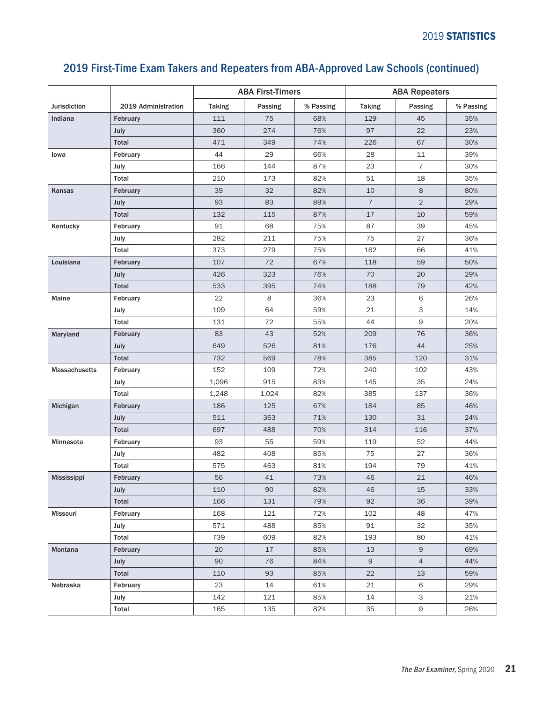|                      |                     | <b>ABA First-Timers</b> |         |           | <b>ABA Repeaters</b> |                |           |  |
|----------------------|---------------------|-------------------------|---------|-----------|----------------------|----------------|-----------|--|
| <b>Jurisdiction</b>  | 2019 Administration | <b>Taking</b>           | Passing | % Passing | <b>Taking</b>        | Passing        | % Passing |  |
| Indiana              | February            | 111                     | 75      | 68%       | 129                  | 45             | 35%       |  |
|                      | July                | 360                     | 274     | 76%       | 97                   | 22             | 23%       |  |
|                      | Total               | 471                     | 349     | 74%       | 226                  | 67             | 30%       |  |
| Iowa                 | February            | 44                      | 29      | 66%       | 28                   | 11             | 39%       |  |
|                      | July                | 166                     | 144     | 87%       | 23                   | $\overline{7}$ | 30%       |  |
|                      | Total               | 210                     | 173     | 82%       | 51                   | 18             | 35%       |  |
| Kansas               | February            | 39                      | 32      | 82%       | 10                   | 8              | 80%       |  |
|                      | July                | 93                      | 83      | 89%       | $\overline{7}$       | $\overline{2}$ | 29%       |  |
|                      | Total               | 132                     | 115     | 87%       | 17                   | 10             | 59%       |  |
| Kentucky             | February            | 91                      | 68      | 75%       | 87                   | 39             | 45%       |  |
|                      | July                | 282                     | 211     | 75%       | 75                   | 27             | 36%       |  |
|                      | Total               | 373                     | 279     | 75%       | 162                  | 66             | 41%       |  |
| Louisiana            | February            | 107                     | 72      | 67%       | 118                  | 59             | 50%       |  |
|                      | July                | 426                     | 323     | 76%       | 70                   | 20             | 29%       |  |
|                      | Total               | 533                     | 395     | 74%       | 188                  | 79             | 42%       |  |
| Maine                | February            | 22                      | 8       | 36%       | 23                   | 6              | 26%       |  |
|                      | July                | 109                     | 64      | 59%       | 21                   | 3              | 14%       |  |
|                      | Total               | 131                     | 72      | 55%       | 44                   | 9              | 20%       |  |
| Maryland             | February            | 83                      | 43      | 52%       | 209                  | 76             | 36%       |  |
|                      | July                | 649                     | 526     | 81%       | 176                  | 44             | 25%       |  |
|                      | Total               | 732                     | 569     | 78%       | 385                  | 120            | 31%       |  |
| <b>Massachusetts</b> | February            | 152                     | 109     | 72%       | 240                  | 102            | 43%       |  |
|                      | July                | 1,096                   | 915     | 83%       | 145                  | 35             | 24%       |  |
|                      | Total               | 1,248                   | 1,024   | 82%       | 385                  | 137            | 36%       |  |
| Michigan             | February            | 186                     | 125     | 67%       | 184                  | 85             | 46%       |  |
|                      | July                | 511                     | 363     | 71%       | 130                  | 31             | 24%       |  |
|                      | Total               | 697                     | 488     | 70%       | 314                  | 116            | 37%       |  |
| Minnesota            | February            | 93                      | 55      | 59%       | 119                  | 52             | 44%       |  |
|                      | July                | 482                     | 408     | 85%       | 75                   | 27             | 36%       |  |
|                      | Total               | 575                     | 463     | 81%       | 194                  | 79             | 41%       |  |
| <b>Mississippi</b>   | February            | 56                      | 41      | 73%       | 46                   | 21             | 46%       |  |
|                      | July                | 110                     | 90      | 82%       | 46                   | 15             | 33%       |  |
|                      | Total               | 166                     | 131     | 79%       | 92                   | 36             | 39%       |  |
| Missouri             | February            | 168                     | 121     | 72%       | 102                  | 48             | 47%       |  |
|                      | July                | 571                     | 488     | 85%       | 91                   | 32             | 35%       |  |
|                      | Total               | 739                     | 609     | 82%       | 193                  | 80             | 41%       |  |
| Montana              | February            | 20                      | 17      | 85%       | 13                   | 9              | 69%       |  |
|                      | July                | 90                      | 76      | 84%       | 9                    | $\overline{4}$ | 44%       |  |
|                      | Total               | 110                     | 93      | 85%       | 22                   | 13             | 59%       |  |
| Nebraska             | February            | 23                      | 14      | 61%       | 21                   | 6              | 29%       |  |
|                      | July                | 142                     | 121     | 85%       | 14                   | 3              | 21%       |  |
|                      | Total               | 165                     | 135     | 82%       | 35                   | 9              | 26%       |  |

# 2019 First-Time Exam Takers and Repeaters from ABA-Approved Law Schools (continued)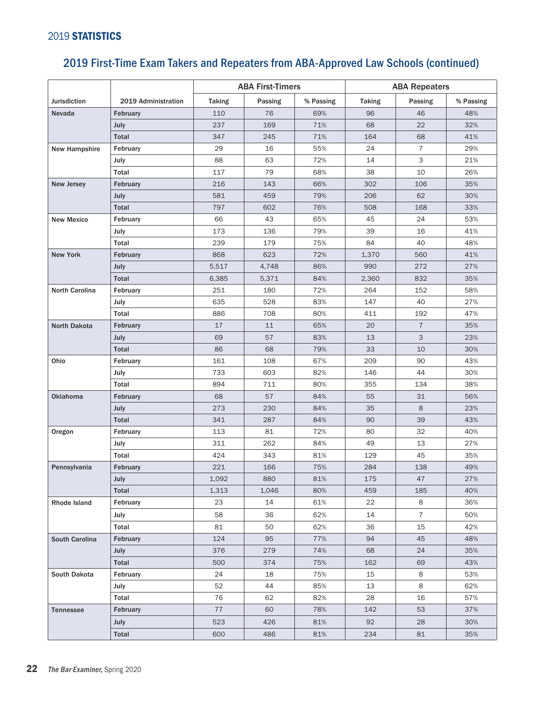#### 2019 STATISTICS

|                       |                     | <b>ABA First-Timers</b> |         |           | <b>ABA Repeaters</b> |                |           |
|-----------------------|---------------------|-------------------------|---------|-----------|----------------------|----------------|-----------|
| <b>Jurisdiction</b>   | 2019 Administration | <b>Taking</b>           | Passing | % Passing | <b>Taking</b>        | Passing        | % Passing |
| Nevada                | February            | 110                     | 76      | 69%       | 96                   | 46             | 48%       |
|                       | July                | 237                     | 169     | 71%       | 68                   | 22             | 32%       |
|                       | <b>Total</b>        | 347                     | 245     | 71%       | 164                  | 68             | 41%       |
| <b>New Hampshire</b>  | February            | 29                      | 16      | 55%       | 24                   | $\overline{7}$ | 29%       |
|                       | July                | 88                      | 63      | 72%       | 14                   | 3              | 21%       |
|                       | Total               | 117                     | 79      | 68%       | 38                   | 10             | 26%       |
| <b>New Jersey</b>     | February            | 216                     | 143     | 66%       | 302                  | 106            | 35%       |
|                       | July                | 581                     | 459     | 79%       | 206                  | 62             | 30%       |
|                       | <b>Total</b>        | 797                     | 602     | 76%       | 508                  | 168            | 33%       |
| <b>New Mexico</b>     | February            | 66                      | 43      | 65%       | 45                   | 24             | 53%       |
|                       | July                | 173                     | 136     | 79%       | 39                   | 16             | 41%       |
|                       | Total               | 239                     | 179     | 75%       | 84                   | 40             | 48%       |
| <b>New York</b>       | February            | 868                     | 623     | 72%       | 1,370                | 560            | 41%       |
|                       | July                | 5,517                   | 4,748   | 86%       | 990                  | 272            | 27%       |
|                       | Total               | 6,385                   | 5,371   | 84%       | 2,360                | 832            | 35%       |
| North Carolina        | February            | 251                     | 180     | 72%       | 264                  | 152            | 58%       |
|                       | July                | 635                     | 528     | 83%       | 147                  | 40             | 27%       |
|                       | Total               | 886                     | 708     | 80%       | 411                  | 192            | 47%       |
| North Dakota          | February            | 17                      | 11      | 65%       | 20                   | $\overline{7}$ | 35%       |
|                       | July                | 69                      | 57      | 83%       | 13                   | 3              | 23%       |
|                       | <b>Total</b>        | 86                      | 68      | 79%       | 33                   | 10             | 30%       |
| Ohio                  | February            | 161                     | 108     | 67%       | 209                  | 90             | 43%       |
|                       | July                | 733                     | 603     | 82%       | 146                  | 44             | 30%       |
|                       | Total               | 894                     | 711     | 80%       | 355                  | 134            | 38%       |
| <b>Oklahoma</b>       | February            | 68                      | 57      | 84%       | 55                   | 31             | 56%       |
|                       | July                | 273                     | 230     | 84%       | 35                   | 8              | 23%       |
|                       | <b>Total</b>        | 341                     | 287     | 84%       | 90                   | 39             | 43%       |
| Oregon                | February            | 113                     | 81      | 72%       | 80                   | 32             | 40%       |
|                       | July                | 311                     | 262     | 84%       | 49                   | 13             | 27%       |
|                       | Total               | 424                     | 343     | 81%       | 129                  | 45             | 35%       |
| Pennsylvania          | February            | 221                     | 166     | 75%       | 284                  | 138            | 49%       |
|                       | July                | 1,092                   | 880     | $81\%$    | 175                  | 47             | 27%       |
|                       | Total               | 1,313                   | 1,046   | 80%       | 459                  | 185            | 40%       |
| Rhode Island          | February            | 23                      | 14      | 61%       | 22                   | 8              | 36%       |
|                       | July                | 58                      | 36      | 62%       | 14                   | $\overline{7}$ | 50%       |
|                       | Total               | 81                      | 50      | 62%       | 36                   | 15             | 42%       |
| <b>South Carolina</b> | February            | 124                     | 95      | 77%       | 94                   | 45             | 48%       |
|                       | July                | 376                     | 279     | 74%       | 68                   | 24             | 35%       |
|                       | Total               | 500                     | 374     | 75%       | 162                  | 69             | 43%       |
| South Dakota          | February            | 24                      | 18      | 75%       | 15                   | 8              | 53%       |
|                       | July                | 52                      | 44      | 85%       | 13                   | 8              | 62%       |
|                       | Total               | 76                      | 62      | 82%       | 28                   | 16             | 57%       |
| Tennessee             | February            | 77                      | 60      | 78%       | 142                  | 53             | 37%       |
|                       | July                | 523                     | 426     | 81%       | 92                   | 28             | 30%       |
|                       | Total               | 600                     | 486     | 81%       | 234                  | 81             | 35%       |

# 2019 First-Time Exam Takers and Repeaters from ABA-Approved Law Schools (continued)